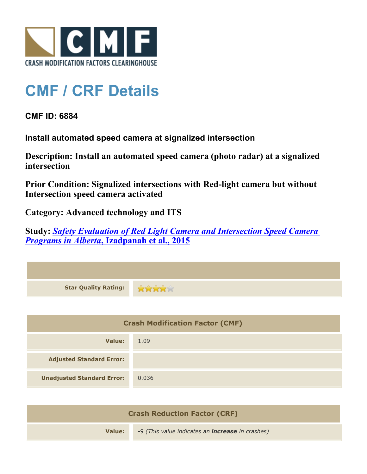

## **CMF / CRF Details**

**CMF ID: 6884**

**Install automated speed camera at signalized intersection**

**Description: Install an automated speed camera (photo radar) at a signalized intersection**

**Prior Condition: Signalized intersections with Red-light camera but without Intersection speed camera activated**

**Category: Advanced technology and ITS**

**Study:** *[Safety Evaluation of Red Light Camera and Intersection Speed Camera](http://www.cmfclearinghouse.org/study_detail.cfm?stid=412) [Programs in Alberta](http://www.cmfclearinghouse.org/study_detail.cfm?stid=412)***[, Izadpanah et al., 2015](http://www.cmfclearinghouse.org/study_detail.cfm?stid=412)**

| <b>Star Quality Rating:</b>            | <b>RAMA</b> |
|----------------------------------------|-------------|
|                                        |             |
| <b>Crash Modification Factor (CMF)</b> |             |
| <b>Value:</b>                          | 1.09        |
| <b>Adjusted Standard Error:</b>        |             |
| <b>Unadjusted Standard Error:</b>      | 0.036       |
|                                        |             |

| <b>Crash Reduction Factor (CRF)</b> |                                                         |  |
|-------------------------------------|---------------------------------------------------------|--|
| Value:                              | -9 (This value indicates an <b>increase</b> in crashes) |  |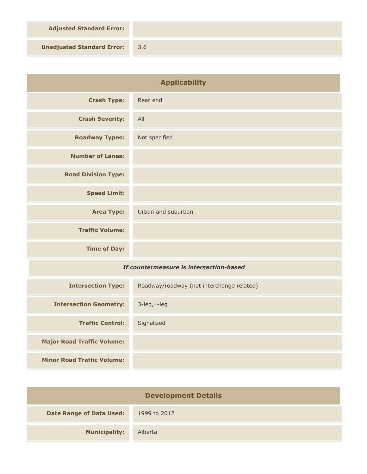**Adjusted Standard Error:**

**Unadjusted Standard Error:** 3.6

| <b>Applicability</b>                    |                                           |
|-----------------------------------------|-------------------------------------------|
| <b>Crash Type:</b>                      | Rear end                                  |
| <b>Crash Severity:</b>                  | All                                       |
| <b>Roadway Types:</b>                   | Not specified                             |
| <b>Number of Lanes:</b>                 |                                           |
| <b>Road Division Type:</b>              |                                           |
| <b>Speed Limit:</b>                     |                                           |
| <b>Area Type:</b>                       | Urban and suburban                        |
| <b>Traffic Volume:</b>                  |                                           |
| <b>Time of Day:</b>                     |                                           |
| If countermeasure is intersection-based |                                           |
| <b>Intersection Type:</b>               | Roadway/roadway (not interchange related) |
| <b>Intersection Geometry:</b>           | 3-leg, 4-leg                              |
| <b>Traffic Control:</b>                 | Signalized                                |
| <b>Major Road Traffic Volume:</b>       |                                           |
| <b>Minor Road Traffic Volume:</b>       |                                           |

| <b>Development Details</b>      |              |  |
|---------------------------------|--------------|--|
| <b>Date Range of Data Used:</b> | 1999 to 2012 |  |
| <b>Municipality:</b>            | Alberta      |  |